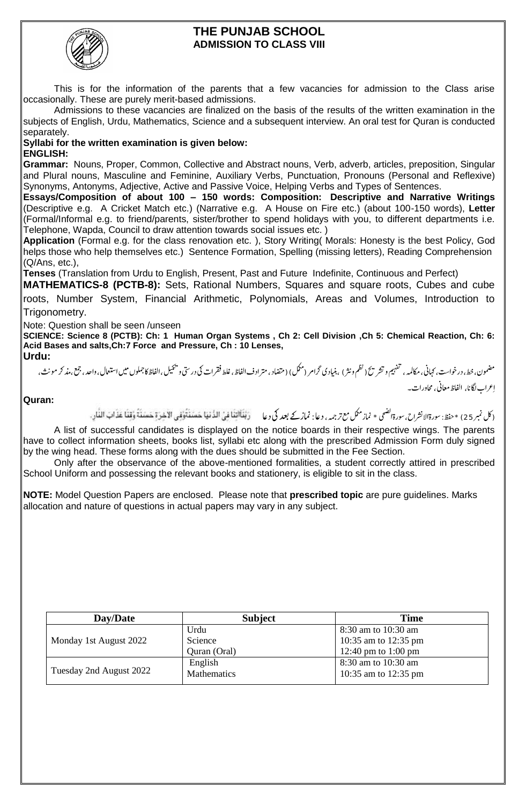

#### **THE PUNJAB SCHOOL ADMISSION TO CLASS VIII**

This is for the information of the parents that a few vacancies for admission to the Class arise occasionally. These are purely merit-based admissions.

Admissions to these vacancies are finalized on the basis of the results of the written examination in the subjects of English, Urdu, Mathematics, Science and a subsequent interview. An oral test for Quran is conducted separately.

#### **Syllabi for the written examination is given below:**

**ENGLISH:** 

**Grammar:** Nouns, Proper, Common, Collective and Abstract nouns, Verb, adverb, articles, preposition, Singular and Plural nouns, Masculine and Feminine, Auxiliary Verbs, Punctuation, Pronouns (Personal and Reflexive) Synonyms, Antonyms, Adjective, Active and Passive Voice, Helping Verbs and Types of Sentences.

**Essays/Composition of about 100 – 150 words: Composition: Descriptive and Narrative Writings**  (Descriptive e.g. A Cricket Match etc.) (Narrative e.g. A House on Fire etc.) (about 100-150 words), **Letter** (Formal/Informal e.g. to friend/parents, sister/brother to spend holidays with you, to different departments i.e. Telephone, Wapda, Council to draw attention towards social issues etc. )

**Application** (Formal e.g. for the class renovation etc. ), Story Writing( Morals: Honesty is the best Policy, God helps those who help themselves etc.) Sentence Formation, Spelling (missing letters), Reading Comprehension (Q/Ans, etc.),

**Tenses** (Translation from Urdu to English, Present, Past and Future Indefinite, Continuous and Perfect)

**MATHEMATICS-8 (PCTB-8):** Sets, Rational Numbers, Squares and square roots, Cubes and cube roots, Number System, Financial Arithmetic, Polynomials, Areas and Volumes, Introduction to Trigonometry.

Note: Question shall be seen /unseen

**SCIENCE: Science 8 (PCTB): Ch: 1 Human Organ Systems , Ch 2: Cell Division ,Ch 5: Chemical Reaction, Ch: 6: Acid Bases and salts,Ch:7 Force and Pressure, Ch : 10 Lenses, Urdu:** 

مضمون، خط، درخواست، <sub>ك</sub>مانى، مكالمه، تفهيم و تشريح (نظم ونشر) بميندار (مكل) (متضاد، مترادفالفاظ، غلط فقرات كى درستى ويحيل،الفاظ كاجملوں ميں استعال، واحد، جمع بهذ كر مونث،  $\overline{a}$ l. l. .<br>. اِعراب لگانا، الفاظ معانی، محاورات۔ l. l.

**Quran:** 

(كل نمبر 25) \* حفظ: سورةالانشراح، سورةالضحي  $\overline{a}$ ا الانشراح، سورۃ  $\overline{a}$ سورةالانشراح، سورةالصحى \* نماز مثل مع ترجمہ ، دعا : نمازكے بعد فى د عا  $\overline{a}$ J A list of successful candidates is displayed on the notice boards in their respective wings. The parents have to collect information sheets, books list, syllabi etc along with the prescribed Admission Form duly signed by the wing head. These forms along with the dues should be submitted in the Fee Section.

Only after the observance of the above-mentioned formalities, a student correctly attired in prescribed School Uniform and possessing the relevant books and stationery, is eligible to sit in the class.

**NOTE:** Model Question Papers are enclosed. Please note that **prescribed topic** are pure guidelines. Marks allocation and nature of questions in actual papers may vary in any subject.

| Day/Date                | <b>Subject</b> | <b>Time</b>          |
|-------------------------|----------------|----------------------|
|                         | Urdu           | 8:30 am to 10:30 am  |
| Monday 1st August 2022  | Science        | 10:35 am to 12:35 pm |
|                         | Quran (Oral)   | 12:40 pm to 1:00 pm  |
|                         | English        | 8:30 am to 10:30 am  |
| Tuesday 2nd August 2022 | Mathematics    | 10:35 am to 12:35 pm |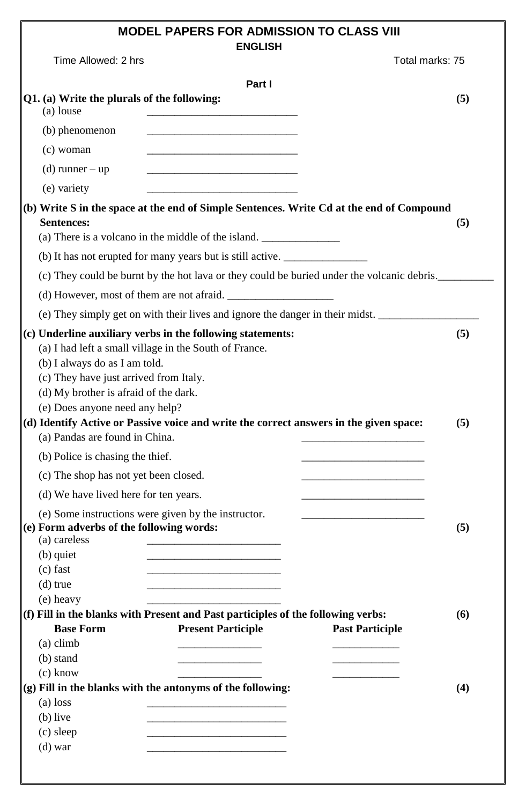|                                                                                                           | <b>MODEL PAPERS FOR ADMISSION TO CLASS VIII</b><br><b>ENGLISH</b>                                                                                   |                        |
|-----------------------------------------------------------------------------------------------------------|-----------------------------------------------------------------------------------------------------------------------------------------------------|------------------------|
| Time Allowed: 2 hrs                                                                                       |                                                                                                                                                     | Total marks: 75        |
|                                                                                                           | Part I                                                                                                                                              |                        |
| (a) louse                                                                                                 | $[Q1. (a) Write the plurals of the following:$                                                                                                      | (5)                    |
| (b) phenomenon                                                                                            | <u> 1989 - Johann Stein, mars an deus Amerikaansk kommunister (</u>                                                                                 |                        |
| (c) woman                                                                                                 |                                                                                                                                                     |                        |
| (d) runner $-\upmu$                                                                                       | <u> 1950 - Paris Amerikaanse kommunister († 1950)</u>                                                                                               |                        |
| (e) variety                                                                                               | <u> 1989 - Johann Stein, mars an deus Amerikaansk kommunister (</u>                                                                                 |                        |
|                                                                                                           | $\vert$ (b) Write S in the space at the end of Simple Sentences. Write Cd at the end of Compound                                                    |                        |
| <b>Sentences:</b>                                                                                         |                                                                                                                                                     | (5)                    |
|                                                                                                           | (a) There is a volcano in the middle of the island.                                                                                                 |                        |
|                                                                                                           | (b) It has not erupted for many years but is still active.                                                                                          |                        |
|                                                                                                           | (c) They could be burnt by the hot lava or they could be buried under the volcanic debris.                                                          |                        |
|                                                                                                           | (d) However, most of them are not afraid.                                                                                                           |                        |
|                                                                                                           |                                                                                                                                                     |                        |
|                                                                                                           | (e) They simply get on with their lives and ignore the danger in their midst.<br>$\vert$ (c) Underline auxiliary verbs in the following statements: | (5)                    |
| (d) My brother is afraid of the dark.<br>(e) Does anyone need any help?<br>(a) Pandas are found in China. | (c) They have just arrived from Italy.<br>$\vert$ (d) Identify Active or Passive voice and write the correct answers in the given space:            | (5)                    |
| (b) Police is chasing the thief.                                                                          |                                                                                                                                                     |                        |
|                                                                                                           | (c) The shop has not yet been closed.                                                                                                               |                        |
|                                                                                                           |                                                                                                                                                     |                        |
| (d) We have lived here for ten years.                                                                     |                                                                                                                                                     |                        |
| (a) careless<br>(b) quiet<br>$(c)$ fast<br>$(d)$ true                                                     | (e) Some instructions were given by the instructor.<br>$\left\vert (e)\right.$ Form adverbs of the following words:                                 | (5)                    |
| (e) heavy                                                                                                 |                                                                                                                                                     |                        |
|                                                                                                           | $\ $ (f) Fill in the blanks with Present and Past participles of the following verbs:                                                               | (6)                    |
| <b>Base Form</b><br>$(a)$ climb                                                                           | <b>Present Participle</b>                                                                                                                           | <b>Past Participle</b> |
| (b) stand                                                                                                 |                                                                                                                                                     |                        |
| (c) know                                                                                                  |                                                                                                                                                     |                        |
|                                                                                                           | $\left  \right $ (g) Fill in the blanks with the antonyms of the following:                                                                         | (4)                    |
| $(a)$ loss                                                                                                |                                                                                                                                                     |                        |
| $(b)$ live                                                                                                |                                                                                                                                                     |                        |
| (c) sleep                                                                                                 |                                                                                                                                                     |                        |
|                                                                                                           |                                                                                                                                                     |                        |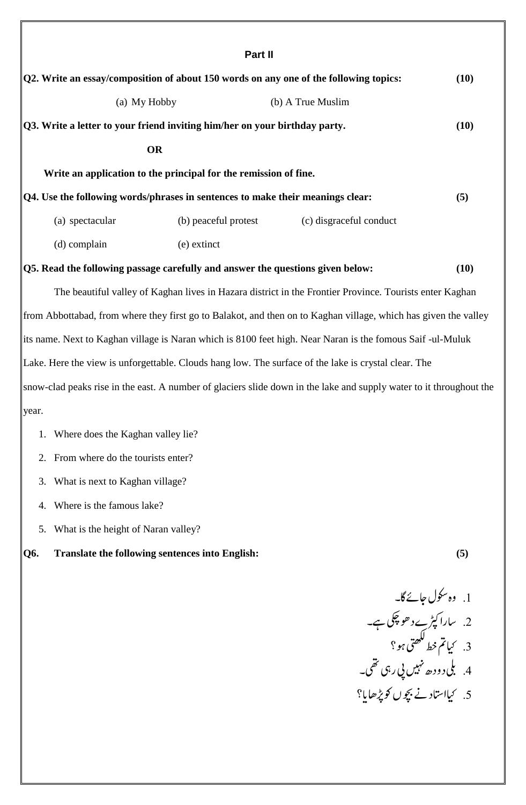|                                                                            | Part II              |                                                                                                                 |      |
|----------------------------------------------------------------------------|----------------------|-----------------------------------------------------------------------------------------------------------------|------|
|                                                                            |                      | Q2. Write an essay/composition of about 150 words on any one of the following topics:                           | (10) |
| (a) My Hobby                                                               |                      | (b) A True Muslim                                                                                               |      |
| Q3. Write a letter to your friend inviting him/her on your birthday party. |                      |                                                                                                                 | (10) |
| <b>OR</b>                                                                  |                      |                                                                                                                 |      |
| Write an application to the principal for the remission of fine.           |                      |                                                                                                                 |      |
|                                                                            |                      | Q4. Use the following words/phrases in sentences to make their meanings clear:                                  | (5)  |
| (a) spectacular                                                            | (b) peaceful protest | (c) disgraceful conduct                                                                                         |      |
| (d) complain                                                               | (e) extinct          |                                                                                                                 |      |
|                                                                            |                      | Q5. Read the following passage carefully and answer the questions given below:                                  | (10) |
|                                                                            |                      | The beautiful valley of Kaghan lives in Hazara district in the Frontier Province. Tourists enter Kaghan         |      |
|                                                                            |                      | from Abbottabad, from where they first go to Balakot, and then on to Kaghan village, which has given the valley |      |
|                                                                            |                      | its name. Next to Kaghan village is Naran which is 8100 feet high. Near Naran is the fomous Saif-ul-Muluk       |      |

Lake. Here the view is unforgettable. Clouds hang low. The surface of the lake is crystal clear. The

snow-clad peaks rise in the east. A number of glaciers slide down in the lake and supply water to it throughout the year.

- 1. Where does the Kaghan valley lie?
- 2. From where do the tourists enter?
- 3. What is next to Kaghan village?
- 4. Where is the famous lake?
- 5. What is the height of Naran valley?

#### **Q6. Translate the following sentences into English: (5)**

.1 و ۃ وکسل اجےئ اگ۔ 2. سارا کپڑےدھو چکی ہے۔ 3. کیا تم خط تکھتی ہو؟ 4. یکی دودھ نہیں پی رہی تھی۔ 5. کیااستاد نے بچوں کو پڑھایا؟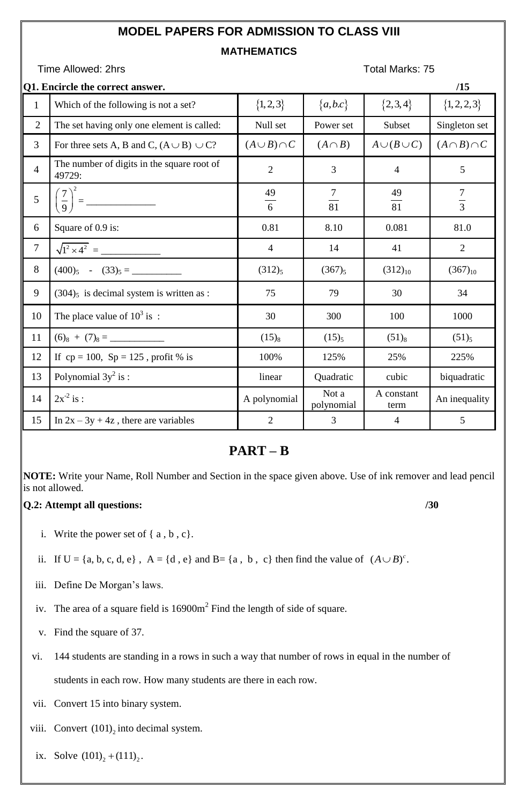## **MODEL PAPERS FOR ADMISSION TO CLASS VIII MATHEMATICS**

Time Allowed: 2hrs Total Marks: 75

|                | Q1. Encircle the correct answer.                     |                     |                     |                    | /15                 |
|----------------|------------------------------------------------------|---------------------|---------------------|--------------------|---------------------|
| $\mathbf{1}$   | Which of the following is not a set?                 | ${1,2,3}$           | ${a,b.c}$           | ${2,3,4}$          | ${1, 2, 2, 3}$      |
| $\overline{2}$ | The set having only one element is called:           | Null set            | Power set           | Subset             | Singleton set       |
| $\overline{3}$ | For three sets A, B and C, $(A \cup B) \cup C$ ?     | $(A \cup B) \cap C$ | $(A \cap B)$        | $A\cup (B\cup C)$  | $(A \cap B) \cap C$ |
| $\overline{4}$ | The number of digits in the square root of<br>49729: | $\overline{2}$      | 3                   | $\overline{4}$     | 5                   |
| 5              | $\left(\frac{7}{9}\right)^2 =$                       | $\frac{49}{6}$      | $\frac{7}{81}$      | $\frac{49}{81}$    | $\frac{7}{3}$       |
| 6              | Square of 0.9 is:                                    | 0.81                | 8.10                | 0.081              | 81.0                |
| $\tau$         | $\sqrt{1^2 \times 4^2}$ =                            | $\overline{4}$      | 14                  | 41                 | $\overline{2}$      |
| 8              |                                                      | $(312)_5$           | $(367)_{5}$         | $(312)_{10}$       | $(367)_{10}$        |
| 9              | $(304)_5$ is decimal system is written as :          | 75                  | 79                  | 30                 | 34                  |
| 10             | The place value of $10^3$ is:                        | 30                  | 300                 | 100                | 1000                |
| 11             |                                                      | $(15)_{8}$          | $(15)_5$            | $(51)_{8}$         | $(51)_5$            |
| 12             | If $cp = 100$ , $Sp = 125$ , profit % is             | 100%                | 125%                | 25%                | 225%                |
| 13             | Polynomial $3y^2$ is :                               | linear              | Quadratic           | cubic              | biquadratic         |
| 14             | $2x^{-2}$ is :                                       | A polynomial        | Not a<br>polynomial | A constant<br>term | An inequality       |
| 15             | In $2x - 3y + 4z$ , there are variables              | $\overline{2}$      | 3                   | $\overline{4}$     | 5                   |

### **PART – B**

**NOTE:** Write your Name, Roll Number and Section in the space given above. Use of ink remover and lead pencil is not allowed.

#### **Q.2: Attempt all questions: /30**

- i. Write the power set of  $\{a, b, c\}$ .
- ii. If  $U = \{a, b, c, d, e\}$ ,  $A = \{d, e\}$  and  $B = \{a, b, c\}$  then find the value of  $(A \cup B)^c$ .
- iii. Define De Morgan's laws.
- iv. The area of a square field is  $16900m^2$  Find the length of side of square.
- v. Find the square of 37.
- vi. 144 students are standing in a rows in such a way that number of rows in equal in the number of students in each row. How many students are there in each row.
- vii. Convert 15 into binary system.
- viii. Convert  $(101)_2$  into decimal system.
- ix. Solve  $(101)_2 + (111)_2$ .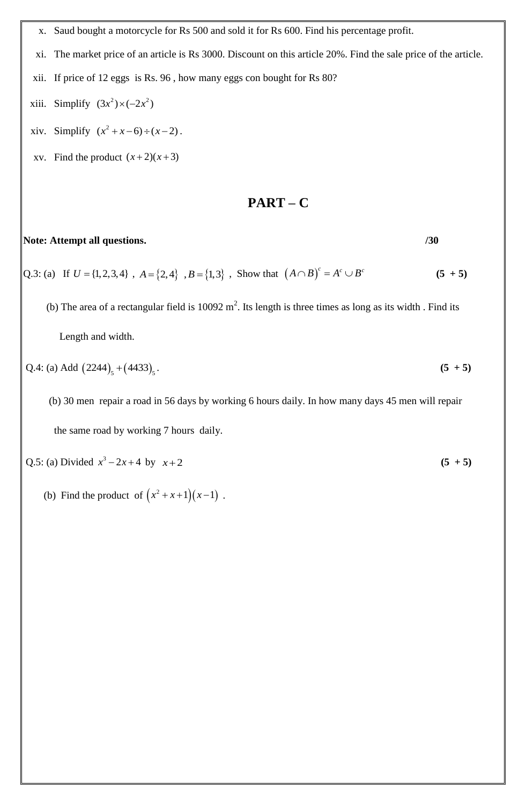- x. Saud bought a motorcycle for Rs 500 and sold it for Rs 600. Find his percentage profit.
- xi. The market price of an article is Rs 3000. Discount on this article 20%. Find the sale price of the article.
- xii. If price of 12 eggs is Rs. 96 , how many eggs con bought for Rs 80?
- xiii. Simplify  $(3x^2) \times (-2x^2)$
- xiv. Simplify  $(x^2 + x 6) \div (x 2)$ .
- xv. Find the product  $(x+2)(x+3)$

### **PART – C**

#### **Note: Attempt all questions. /30**

Q.3: (a) If  $U = \{1, 2, 3, 4\}$ ,  $A = \{2, 4\}$ ,  $B = \{1, 3\}$ , Show that  $(A \cap B)^c = A^c \cup B^c$ **(5 + 5)**

(b) The area of a rectangular field is  $10092 \text{ m}^2$ . Its length is three times as long as its width. Find its

Length and width.

Q.4: (a) Add 
$$
(2244)_5 + (4433)_5
$$
. (5 + 5)

 (b) 30 men repair a road in 56 days by working 6 hours daily. In how many days 45 men will repair the same road by working 7 hours daily.

- Q.5: (a) Divided  $x^3 2x + 4$  by  $x + 2$  (5 + 5)
- (b) Find the product of  $(x^2 + x + 1)(x 1)$ .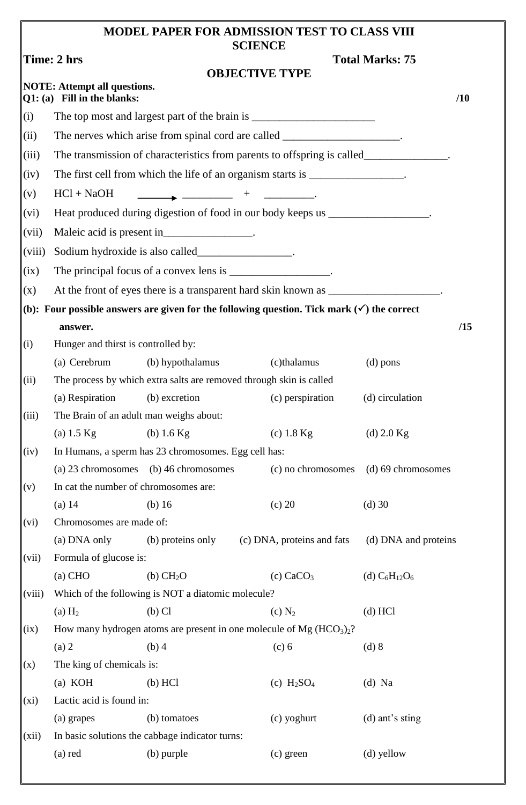# **MODEL PAPER FOR ADMISSION TEST TO CLASS VIII SCIENCE Time: 2 hrs Total Marks: 75 OBJECTIVE TYPE NOTE: Attempt all questions. Q1: (a) Fill in the blanks: /10**  $(i)$  The top most and largest part of the brain is  $\frac{1}{i}$ (ii) The nerves which arise from spinal cord are called \_\_\_\_\_\_\_\_\_\_\_\_\_\_\_\_\_\_\_\_\_\_\_\_\_ (iii) The transmission of characteristics from parents to offspring is called\_\_\_\_\_\_\_\_\_\_\_\_\_\_\_. (iv) The first cell from which the life of an organism starts is \_\_\_\_\_\_\_\_\_\_\_\_\_\_\_\_. (v) HCl + NaOH \_\_\_\_\_\_\_\_\_ + \_\_\_\_\_\_\_\_\_. (vi) Heat produced during digestion of food in our body keeps us  $\blacksquare$ (vii) Maleic acid is present in\_\_\_\_\_\_\_\_\_\_\_\_\_\_\_\_. (viii) Sodium hydroxide is also called\_\_\_\_\_\_\_\_\_\_\_\_\_\_\_\_\_.  $(ix)$  The principal focus of a convex lens is  $\frac{1}{x}$  $(x)$  At the front of eyes there is a transparent hard skin known as  $\frac{1}{x}$ **(b):** Four possible answers are given for the following question. Tick mark  $(\checkmark)$  the correct  **answer. /15** (i) Hunger and thirst is controlled by: (a) Cerebrum (b) hypothalamus (c)thalamus (d) pons (ii) The process by which extra salts are removed through skin is called (a) Respiration (b) excretion (c) perspiration (d) circulation (iii) The Brain of an adult man weighs about: (a) 1.5 Kg (b) 1.6 Kg (c) 1.8 Kg (d) 2.0 Kg (iv) In Humans, a sperm has 23 chromosomes. Egg cell has: (a) 23 chromosomes (b) 46 chromosomes (c) no chromosomes (d) 69 chromosomes (v) In cat the number of chromosomes are: (a) 14 (b) 16 (c) 20 (d) 30 (vi) Chromosomes are made of: (a) DNA only (b) proteins only (c) DNA, proteins and fats (d) DNA and proteins (vii) Formula of glucose is: (a) CHO (b) CH<sub>2</sub>O (c) CaCO<sub>3</sub> (d) C<sub>6</sub>H<sub>12</sub>O<sub>6</sub> (viii) Which of the following is NOT a diatomic molecule? (a)  $H_2$  (b) Cl (c)  $N_2$  (d) HCl (ix) How many hydrogen atoms are present in one molecule of  $Mg (HCO<sub>3</sub>)<sub>2</sub>$ ? (a) 2 (b) 4 (c) 6 (d) 8 (x) The king of chemicals is: (a) KOH (b) HCl (c)  $H_2SO_4$  (d) Na (xi) Lactic acid is found in: (a) grapes (b) tomatoes (c) yoghurt (d) ant's sting (xii) In basic solutions the cabbage indicator turns: (a) red (b) purple (c) green (d) yellow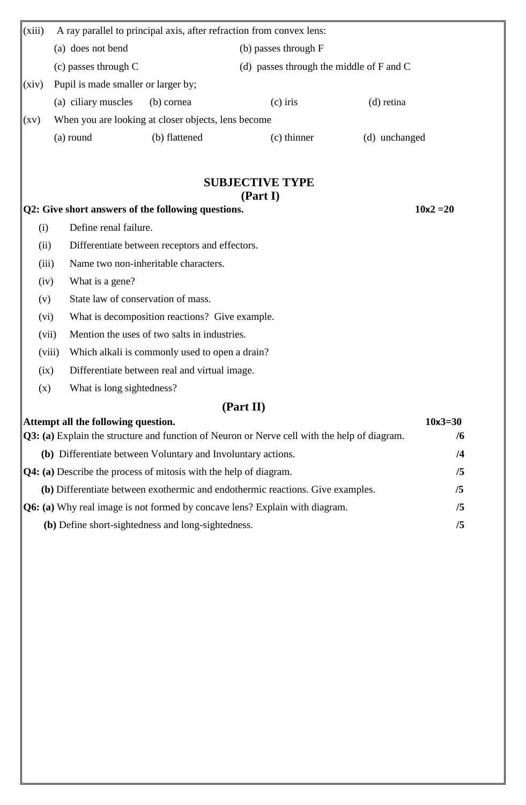| A ray parallel to principal axis, after refraction from convex lens:<br>(xiii) |                                                     |               |                                              |               |
|--------------------------------------------------------------------------------|-----------------------------------------------------|---------------|----------------------------------------------|---------------|
|                                                                                | (a) does not bend                                   |               | (b) passes through F                         |               |
|                                                                                | $(c)$ passes through C                              |               | (d) passes through the middle of $F$ and $C$ |               |
| (xiv)                                                                          | Pupil is made smaller or larger by;                 |               |                                              |               |
|                                                                                | (a) ciliary muscles                                 | (b) cornea    | $(c)$ iris                                   | (d) retina    |
| (xv)                                                                           | When you are looking at closer objects, lens become |               |                                              |               |
|                                                                                | (a) round                                           | (b) flattened | $(c)$ thinner                                | (d) unchanged |

### **SUBJECTIVE TYPE (Part I)**

### **Q2: Give short answers of the following questions. 10x2 =20**

- (i) Define renal failure.
- (ii) Differentiate between receptors and effectors.
- (iii) Name two non-inheritable characters.
- (iv) What is a gene?
- (v) State law of conservation of mass.
- (vi) What is decomposition reactions? Give example.
- (vii) Mention the uses of two salts in industries.
- (viii) Which alkali is commonly used to open a drain?
- (ix) Differentiate between real and virtual image.
- (x) What is long sightedness?

### **(Part II)**

| Attempt all the following question.                                                                 | $10x3=30$ |
|-----------------------------------------------------------------------------------------------------|-----------|
| <b>Q3:</b> (a) Explain the structure and function of Neuron or Nerve cell with the help of diagram. | /6        |
| (b) Differentiate between Voluntary and Involuntary actions.                                        | /4        |
| <b>Q4:</b> (a) Describe the process of mitosis with the help of diagram.                            | /5        |
| (b) Differentiate between exothermic and endothermic reactions. Give examples.                      | /5        |
| <b>Q6:</b> (a) Why real image is not formed by concave lens? Explain with diagram.                  | /5        |
| (b) Define short-sightedness and long-sightedness.                                                  | /5        |